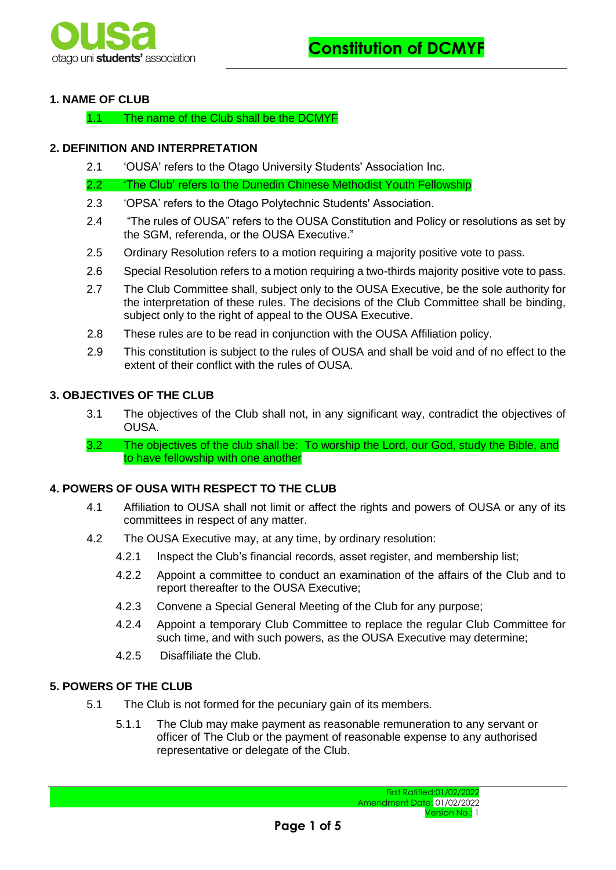

# **1. NAME OF CLUB**

1.1 The name of the Club shall be the DCMYF

# **2. DEFINITION AND INTERPRETATION**

2.1 'OUSA' refers to the Otago University Students' Association Inc.

2.2 <sup>The Club' refers to the Dunedin Chinese Methodist Youth Fellowship</sup>

- 2.3 'OPSA' refers to the Otago Polytechnic Students' Association.
- 2.4 "The rules of OUSA" refers to the OUSA Constitution and Policy or resolutions as set by the SGM, referenda, or the OUSA Executive."
- 2.5 Ordinary Resolution refers to a motion requiring a majority positive vote to pass.
- 2.6 Special Resolution refers to a motion requiring a two-thirds majority positive vote to pass.
- 2.7 The Club Committee shall, subject only to the OUSA Executive, be the sole authority for the interpretation of these rules. The decisions of the Club Committee shall be binding, subject only to the right of appeal to the OUSA Executive.
- 2.8 These rules are to be read in conjunction with the OUSA Affiliation policy.
- 2.9 This constitution is subject to the rules of OUSA and shall be void and of no effect to the extent of their conflict with the rules of OUSA.

# **3. OBJECTIVES OF THE CLUB**

- 3.1 The objectives of the Club shall not, in any significant way, contradict the objectives of OUSA.
- 3.2 The objectives of the club shall be: To worship the Lord, our God, study the Bible, and to have fellowship with one another

# **4. POWERS OF OUSA WITH RESPECT TO THE CLUB**

- 4.1 Affiliation to OUSA shall not limit or affect the rights and powers of OUSA or any of its committees in respect of any matter.
- 4.2 The OUSA Executive may, at any time, by ordinary resolution:
	- 4.2.1 Inspect the Club's financial records, asset register, and membership list;
	- 4.2.2 Appoint a committee to conduct an examination of the affairs of the Club and to report thereafter to the OUSA Executive;
	- 4.2.3 Convene a Special General Meeting of the Club for any purpose;
	- 4.2.4 Appoint a temporary Club Committee to replace the regular Club Committee for such time, and with such powers, as the OUSA Executive may determine;
	- 4.2.5 Disaffiliate the Club.

# **5. POWERS OF THE CLUB**

- 5.1 The Club is not formed for the pecuniary gain of its members.
	- 5.1.1 The Club may make payment as reasonable remuneration to any servant or officer of The Club or the payment of reasonable expense to any authorised representative or delegate of the Club.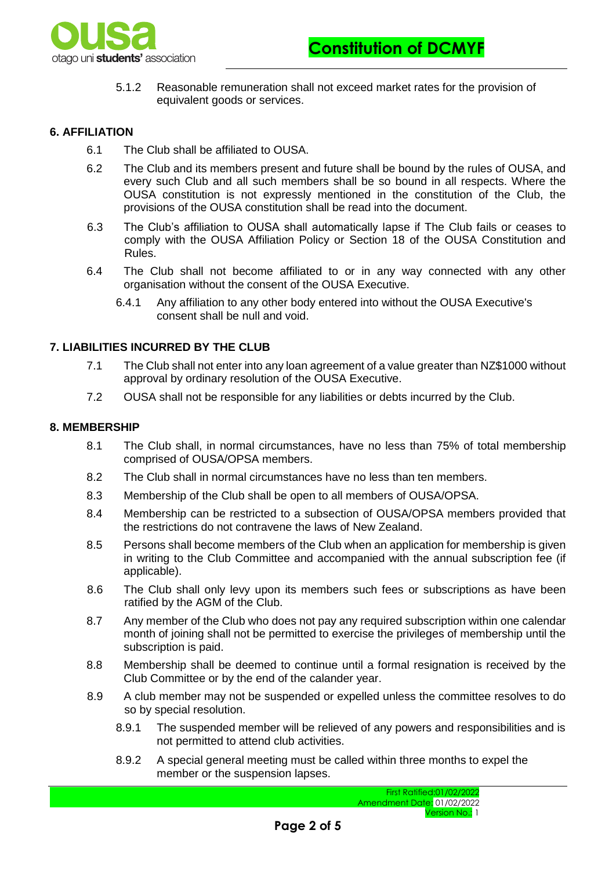

5.1.2 Reasonable remuneration shall not exceed market rates for the provision of equivalent goods or services.

### **6. AFFILIATION**

- 6.1 The Club shall be affiliated to OUSA.
- 6.2 The Club and its members present and future shall be bound by the rules of OUSA, and every such Club and all such members shall be so bound in all respects. Where the OUSA constitution is not expressly mentioned in the constitution of the Club, the provisions of the OUSA constitution shall be read into the document.
- 6.3 The Club's affiliation to OUSA shall automatically lapse if The Club fails or ceases to comply with the OUSA Affiliation Policy or Section 18 of the OUSA Constitution and Rules.
- 6.4 The Club shall not become affiliated to or in any way connected with any other organisation without the consent of the OUSA Executive.
	- 6.4.1 Any affiliation to any other body entered into without the OUSA Executive's consent shall be null and void.

# **7. LIABILITIES INCURRED BY THE CLUB**

- 7.1 The Club shall not enter into any loan agreement of a value greater than NZ\$1000 without approval by ordinary resolution of the OUSA Executive.
- 7.2 OUSA shall not be responsible for any liabilities or debts incurred by the Club.

#### **8. MEMBERSHIP**

- 8.1 The Club shall, in normal circumstances, have no less than 75% of total membership comprised of OUSA/OPSA members.
- 8.2 The Club shall in normal circumstances have no less than ten members.
- 8.3 Membership of the Club shall be open to all members of OUSA/OPSA.
- 8.4 Membership can be restricted to a subsection of OUSA/OPSA members provided that the restrictions do not contravene the laws of New Zealand.
- 8.5 Persons shall become members of the Club when an application for membership is given in writing to the Club Committee and accompanied with the annual subscription fee (if applicable).
- 8.6 The Club shall only levy upon its members such fees or subscriptions as have been ratified by the AGM of the Club.
- 8.7 Any member of the Club who does not pay any required subscription within one calendar month of joining shall not be permitted to exercise the privileges of membership until the subscription is paid.
- 8.8 Membership shall be deemed to continue until a formal resignation is received by the Club Committee or by the end of the calander year.
- 8.9 A club member may not be suspended or expelled unless the committee resolves to do so by special resolution.
	- 8.9.1 The suspended member will be relieved of any powers and responsibilities and is not permitted to attend club activities.
	- 8.9.2 A special general meeting must be called within three months to expel the member or the suspension lapses.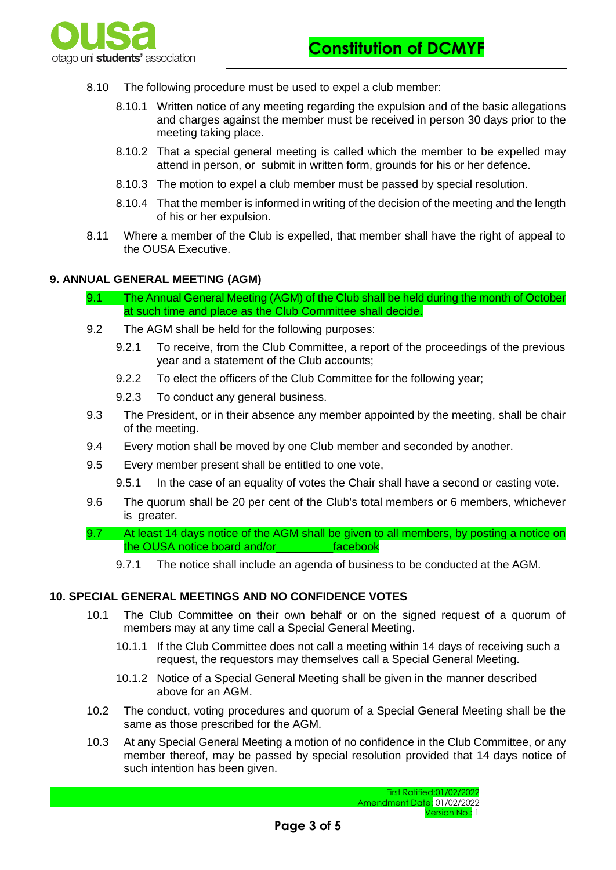

- 8.10 The following procedure must be used to expel a club member:
	- 8.10.1 Written notice of any meeting regarding the expulsion and of the basic allegations and charges against the member must be received in person 30 days prior to the meeting taking place.
	- 8.10.2 That a special general meeting is called which the member to be expelled may attend in person, or submit in written form, grounds for his or her defence.
	- 8.10.3 The motion to expel a club member must be passed by special resolution.
	- 8.10.4 That the member is informed in writing of the decision of the meeting and the length of his or her expulsion.
- 8.11 Where a member of the Club is expelled, that member shall have the right of appeal to the OUSA Executive.

#### **9. ANNUAL GENERAL MEETING (AGM)**

- 9.1 The Annual General Meeting (AGM) of the Club shall be held during the month of October at such time and place as the Club Committee shall decide.
- 9.2 The AGM shall be held for the following purposes:
	- 9.2.1 To receive, from the Club Committee, a report of the proceedings of the previous year and a statement of the Club accounts;
	- 9.2.2 To elect the officers of the Club Committee for the following year;
	- 9.2.3 To conduct any general business.
- 9.3 The President, or in their absence any member appointed by the meeting, shall be chair of the meeting.
- 9.4 Every motion shall be moved by one Club member and seconded by another.
- 9.5 Every member present shall be entitled to one vote,
	- 9.5.1 In the case of an equality of votes the Chair shall have a second or casting vote.
- 9.6 The quorum shall be 20 per cent of the Club's total members or 6 members, whichever is greater.
- 9.7 At least 14 days notice of the AGM shall be given to all members, by posting a notice on the OUSA notice board and/or\_\_\_\_\_\_\_\_\_facebook
	- 9.7.1 The notice shall include an agenda of business to be conducted at the AGM.

# **10. SPECIAL GENERAL MEETINGS AND NO CONFIDENCE VOTES**

- 10.1 The Club Committee on their own behalf or on the signed request of a quorum of members may at any time call a Special General Meeting.
	- 10.1.1 If the Club Committee does not call a meeting within 14 days of receiving such a request, the requestors may themselves call a Special General Meeting.
	- 10.1.2 Notice of a Special General Meeting shall be given in the manner described above for an AGM.
- 10.2 The conduct, voting procedures and quorum of a Special General Meeting shall be the same as those prescribed for the AGM.
- 10.3 At any Special General Meeting a motion of no confidence in the Club Committee, or any member thereof, may be passed by special resolution provided that 14 days notice of such intention has been given.

First Ratified:01/02/2022 Amendment Date: 01/02/2022 Version No.: 1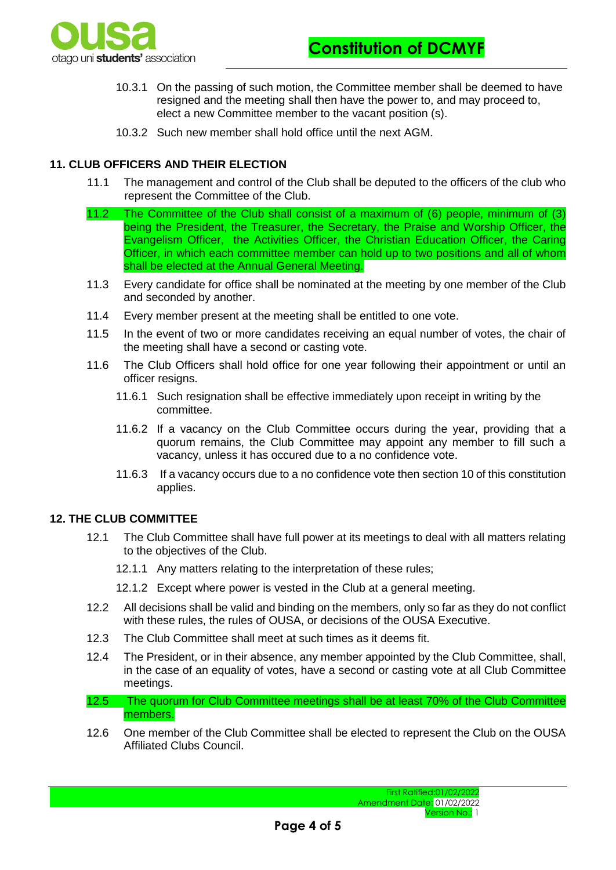

- 10.3.1 On the passing of such motion, the Committee member shall be deemed to have resigned and the meeting shall then have the power to, and may proceed to, elect a new Committee member to the vacant position (s).
- 10.3.2 Such new member shall hold office until the next AGM.

# **11. CLUB OFFICERS AND THEIR ELECTION**

- 11.1 The management and control of the Club shall be deputed to the officers of the club who represent the Committee of the Club.
- 11.2 The Committee of the Club shall consist of a maximum of (6) people, minimum of (3) being the President, the Treasurer, the Secretary, the Praise and Worship Officer, the Evangelism Officer, the Activities Officer, the Christian Education Officer, the Caring Officer, in which each committee member can hold up to two positions and all of whom shall be elected at the Annual General Meeting.
- 11.3 Every candidate for office shall be nominated at the meeting by one member of the Club and seconded by another.
- 11.4 Every member present at the meeting shall be entitled to one vote.
- 11.5 In the event of two or more candidates receiving an equal number of votes, the chair of the meeting shall have a second or casting vote.
- 11.6 The Club Officers shall hold office for one year following their appointment or until an officer resigns.
	- 11.6.1 Such resignation shall be effective immediately upon receipt in writing by the committee.
	- 11.6.2 If a vacancy on the Club Committee occurs during the year, providing that a quorum remains, the Club Committee may appoint any member to fill such a vacancy, unless it has occured due to a no confidence vote.
	- 11.6.3 If a vacancy occurs due to a no confidence vote then section 10 of this constitution applies.

# **12. THE CLUB COMMITTEE**

- 12.1 The Club Committee shall have full power at its meetings to deal with all matters relating to the objectives of the Club.
	- 12.1.1 Any matters relating to the interpretation of these rules;
	- 12.1.2 Except where power is vested in the Club at a general meeting.
- 12.2 All decisions shall be valid and binding on the members, only so far as they do not conflict with these rules, the rules of OUSA, or decisions of the OUSA Executive.
- 12.3 The Club Committee shall meet at such times as it deems fit.
- 12.4 The President, or in their absence, any member appointed by the Club Committee, shall, in the case of an equality of votes, have a second or casting vote at all Club Committee meetings.
- 12.5 The quorum for Club Committee meetings shall be at least 70% of the Club Committee members.
- 12.6 One member of the Club Committee shall be elected to represent the Club on the OUSA Affiliated Clubs Council.